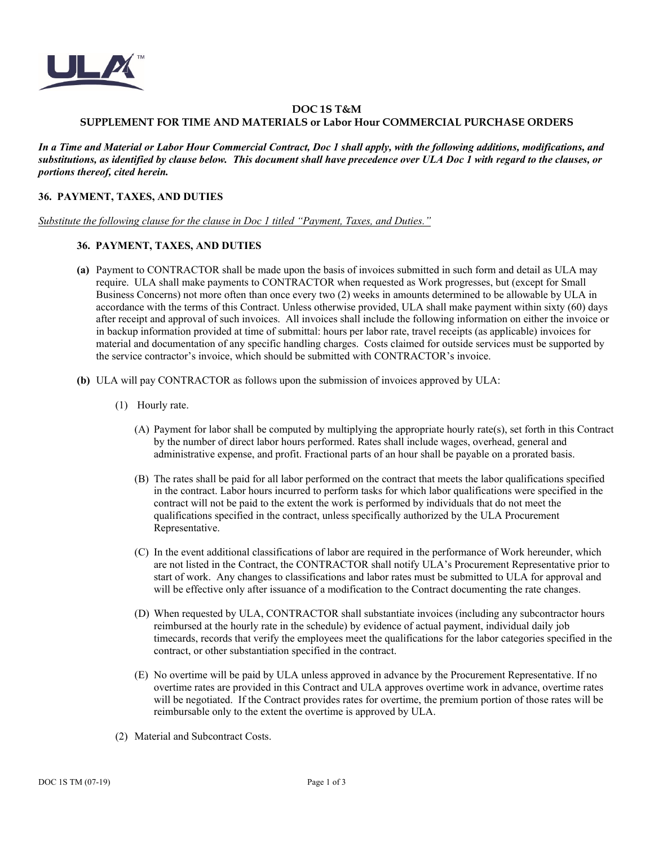

## **DOC 1S T&M SUPPLEMENT FOR TIME AND MATERIALS or Labor Hour COMMERCIAL PURCHASE ORDERS**

*In a Time and Material or Labor Hour Commercial Contract, Doc 1 shall apply, with the following additions, modifications, and substitutions, as identified by clause below. This document shall have precedence over ULA Doc 1 with regard to the clauses, or portions thereof, cited herein.*

## **36. PAYMENT, TAXES, AND DUTIES**

*Substitute the following clause for the clause in Doc 1 titled "Payment, Taxes, and Duties."* 

## **36. PAYMENT, TAXES, AND DUTIES**

- **(a)** Payment to CONTRACTOR shall be made upon the basis of invoices submitted in such form and detail as ULA may require. ULA shall make payments to CONTRACTOR when requested as Work progresses, but (except for Small Business Concerns) not more often than once every two (2) weeks in amounts determined to be allowable by ULA in accordance with the terms of this Contract. Unless otherwise provided, ULA shall make payment within sixty (60) days after receipt and approval of such invoices.All invoices shall include the following information on either the invoice or in backup information provided at time of submittal: hours per labor rate, travel receipts (as applicable) invoices for material and documentation of any specific handling charges. Costs claimed for outside services must be supported by the service contractor's invoice, which should be submitted with CONTRACTOR's invoice.
- **(b)** ULA will pay CONTRACTOR as follows upon the submission of invoices approved by ULA:
	- (1) Hourly rate.
		- (A) Payment for labor shall be computed by multiplying the appropriate hourly rate(s), set forth in this Contract by the number of direct labor hours performed. Rates shall include wages, overhead, general and administrative expense, and profit. Fractional parts of an hour shall be payable on a prorated basis.
		- (B) The rates shall be paid for all labor performed on the contract that meets the labor qualifications specified in the contract. Labor hours incurred to perform tasks for which labor qualifications were specified in the contract will not be paid to the extent the [work](https://www.law.cornell.edu/cfr/text/48/52.212-4) is performed by [individuals](https://www.law.cornell.edu/cfr/text/48/52.212-4) that do not meet the qualifications specified in the contract, unless specifically authorized by the ULA Procurement Representative.
		- (C) In the event additional classifications of labor are required in the performance of Work hereunder, which are not listed in the Contract, the CONTRACTOR shall notify ULA's Procurement Representative prior to start of work. Any changes to classifications and labor rates must be submitted to ULA for approval and will be effective only after issuance of a modification to the Contract documenting the rate changes.
		- (D) When requested by ULA, CONTRACTOR shall substantiat[e invoices](https://www.law.cornell.edu/cfr/text/48/52.212-4) (including any [subcontractor](https://www.law.cornell.edu/cfr/text/48/52.212-4) hours reimbursed at the [hourly rate](https://www.law.cornell.edu/cfr/text/48/52.212-4) in the schedule) by evidence of actua[l payment, individual](https://www.law.cornell.edu/cfr/text/48/52.212-4) daily job timecards, records that verify the [employees](https://www.law.cornell.edu/cfr/text/48/52.212-4) meet the qualifications for the labor categories specified in the contract, or other substantiation specified in the contract.
		- (E) No overtime will be paid by ULA unless approved in advance by the Procurement Representative. If no overtime rates are provided in this Contract and ULA approves overtime work in advance, overtime rates will be negotiated. If the Contract provides rates for overtime, the premium portion of those rates will be reimbursable only to the extent the overtime is approved by ULA.
	- (2) Material and Subcontract Costs.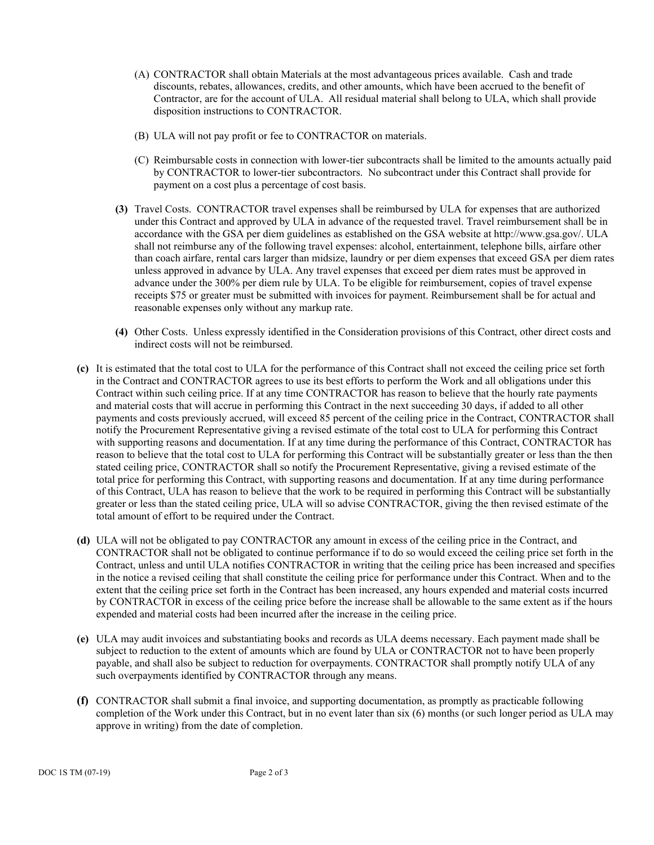- (A) CONTRACTOR shall obtain [Materials](https://www.law.cornell.edu/cfr/text/48/52.212-4) at the most advantageous prices available. Cash and trade discounts, rebates, allowances, credits, and other amounts, which have been accrued to the benefit of Contractor, are for the account of ULA. All residual material shall belong to ULA, which shall provide disposition instructions to CONTRACTOR.
- (B) ULA will not pay profit or fee to CONTRACTOR on materials.
- (C) Reimbursable costs in connection with lower-tier subcontracts shall be limited to the amounts actually paid by CONTRACTOR to lower-tier subcontractors. No subcontract under this Contract shall provide for payment on a cost plus a percentage of cost basis.
- **(3)** Travel Costs.CONTRACTOR travel expenses shall be reimbursed by ULA for expenses that are authorized under this Contract and approved by ULA in advance of the requested travel. Travel reimbursement shall be in accordance with the GSA per diem guidelines as established on the GSA website a[t http://www.gsa.gov/.](http://www.gsa.gov/) ULA shall not reimburse any of the following travel expenses: alcohol, entertainment, telephone bills, airfare other than coach airfare, rental cars larger than midsize, laundry or per diem expenses that exceed GSA per diem rates unless approved in advance by ULA. Any travel expenses that exceed per diem rates must be approved in advance under the 300% per diem rule by ULA. To be eligible for reimbursement, copies of travel expense receipts \$75 or greater must be submitted with invoices for payment. Reimbursement shall be for actual and reasonable expenses only without any markup rate.
- **(4)** Other Costs. Unless expressly identified in the Consideration provisions of this Contract, other direct costs and indirect costs will not be reimbursed.
- **(c)** It is estimated that the total cost to ULA for the performance of this Contract shall not exceed the ceiling price set forth in the Contract and CONTRACTOR agrees to use its best efforts to perform the Work and all obligations under this Contract within such ceiling price. If at any time CONTRACTOR has reason to believe that the hourly rate payments and material costs that will accrue in performing this Contract in the next succeeding 30 days, if added to all other payments and costs previously accrued, will exceed 85 percent of the ceiling price in the Contract, CONTRACTOR shall notify the Procurement Representative giving a revised estimate of the total cost to ULA for performing this Contract with supporting reasons and documentation. If at any time during the performance of this Contract, CONTRACTOR has reason to believe that the total cost to ULA for performing this Contract will be substantially greater or less than the then stated ceiling price, CONTRACTOR shall so notify the Procurement Representative, giving a revised estimate of the total price for performing this Contract, with supporting reasons and documentation. If at any time during performance of this Contract, ULA has reason to believe that the work to be required in performing this Contract will be substantially greater or less than the stated ceiling price, ULA will so advise CONTRACTOR, giving the then revised estimate of the total amount of effort to be required under the Contract.
- **(d)** ULA will not be obligated to pay CONTRACTOR any amount in excess of the ceiling price in the Contract, and CONTRACTOR shall not be obligated to continue performance if to do so would exceed the ceiling price set forth in the Contract, unless and until ULA notifies CONTRACTOR in writing that the ceiling price has been increased and specifies in the notice a revised ceiling that shall constitute the ceiling price for performance under this Contract. When and to the extent that the ceiling price set forth in the Contract has been increased, any hours expended and material costs incurred by CONTRACTOR in excess of the ceiling price before the increase shall be allowable to the same extent as if the hours expended and material costs had been incurred after the increase in the ceiling price.
- **(e)** ULA may audit invoices and substantiating books and records as ULA deems necessary. Each payment made shall be subject to reduction to the extent of amounts which are found by ULA or CONTRACTOR not to have been properly payable, and shall also be subject to reduction for overpayments. CONTRACTOR shall promptly notify ULA of any such overpayments identified by CONTRACTOR through any means.
- **(f)** CONTRACTOR shall submit a final invoice, and supporting documentation, as promptly as practicable following completion of the Work under this Contract, but in no event later than six (6) months (or such longer period as ULA may approve in writing) from the date of completion.